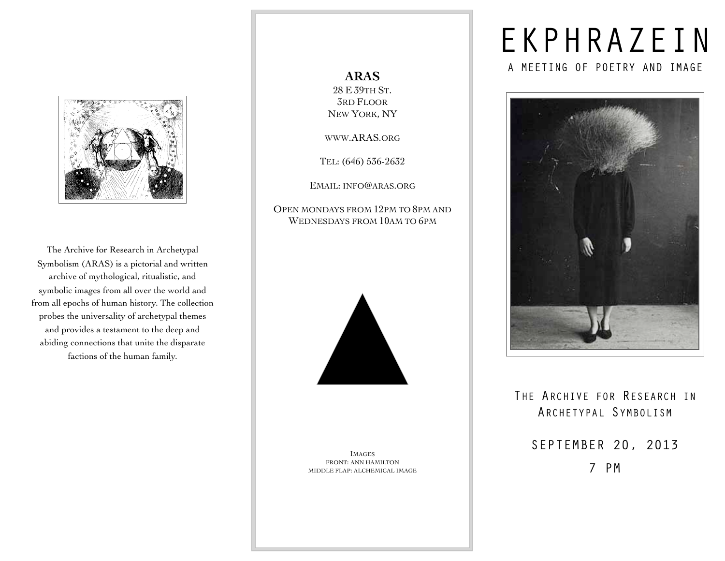

The Archive for Research in Archetypal Symbolism (ARAS) is a pictorial and written archive of mythological, ritualistic, and symbolic images from all over the world and from all epochs of human history. The collection probes the universality of archetypal themes and provides a testament to the deep and abiding connections that unite the disparate factions of the human family.

**ARAS** 28 E 39TH ST. 3RD FLOOR NEW YORK, NY

[WWW.ARAS.ORG](http://www.ARAS.org)

TEL: (646) 536-2632

EMAIL: [INFO@ARAS.ORG](mailto:info@aras.org)

OPEN MONDAYS FROM 12PM TO 8PM AND WEDNESDAYS FROM 10AM TO 6PM



IMAGES FRONT: ANN HAMILTON MIDDLE FLAP: ALCHEMICAL IMAGE

# EKPHRAZEIN

A MEETING OF POETRY AND IMAGE



### THE ARCHIVE FOR RESEARCH IN ARCHETYPAL SYMBOLISM

SEPTEMBER 20, 2013 7 PM